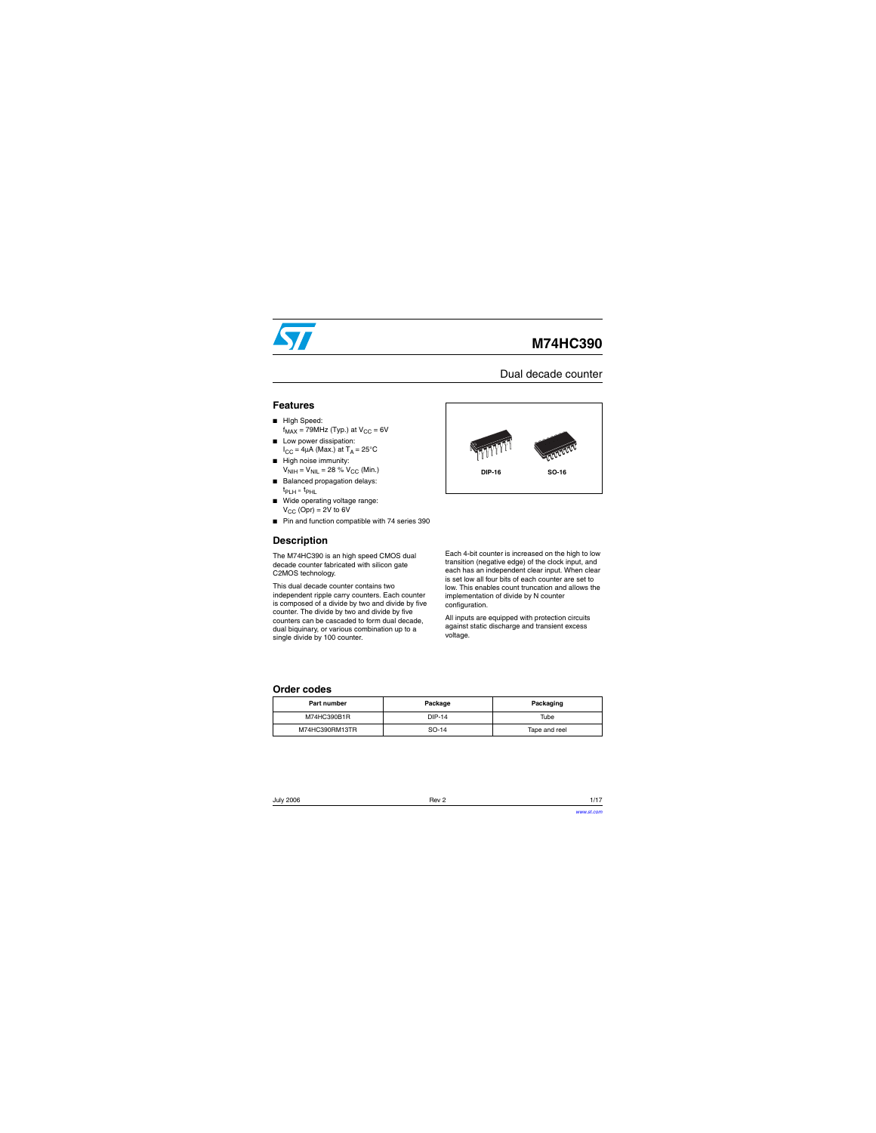

# **M74HC390**

### Dual decade counter

#### **Features**

- HIgh Speed:  $f_{MAX}$  = 79MHz (Typ.) at  $V_{CC}$  = 6V
- Low power dissipation:  $I_{CC}$  = 4µA (Max.) at T<sub>A</sub> = 25°C
- High noise immunity:  $V_{\text{NIH}} = V_{\text{NIL}} = 28 \% V_{\text{CC}}$  (Min.)
- Balanced propagation delays:  $t_{\text{PLH}}$   $\approx$   $t_{\text{PHL}}$
- Wide operating voltage range:  $V_{CC}$  (Opr) = 2V to 6V
- Pin and function compatible with 74 series 390

### **Description**

The M74HC390 is an high speed CMOS dual decade counter fabricated with silicon gate C2MOS technology.

This dual decade counter contains two independent ripple carry counters. Each counter is composed of a divide by two and divide by five counter. The divide by two and divide by five counters can be cascaded to form dual decade, dual biquinary, or various combination up to a single divide by 100 counter.



Each 4-bit counter is increased on the high to low transition (negative edge) of the clock input, and each has an independent clear input. When clear is set low all four bits of each counter are set to low. This enables count truncation and allows the implementation of divide by N counter configuration.

All inputs are equipped with protection circuits against static discharge and transient excess voltage.

#### **Order codes**

| Part number    | Package | Packaging     |  |  |
|----------------|---------|---------------|--|--|
| M74HC390B1R    | DIP-14  | Tube          |  |  |
| M74HC390RM13TR | SO-14   | Tape and reel |  |  |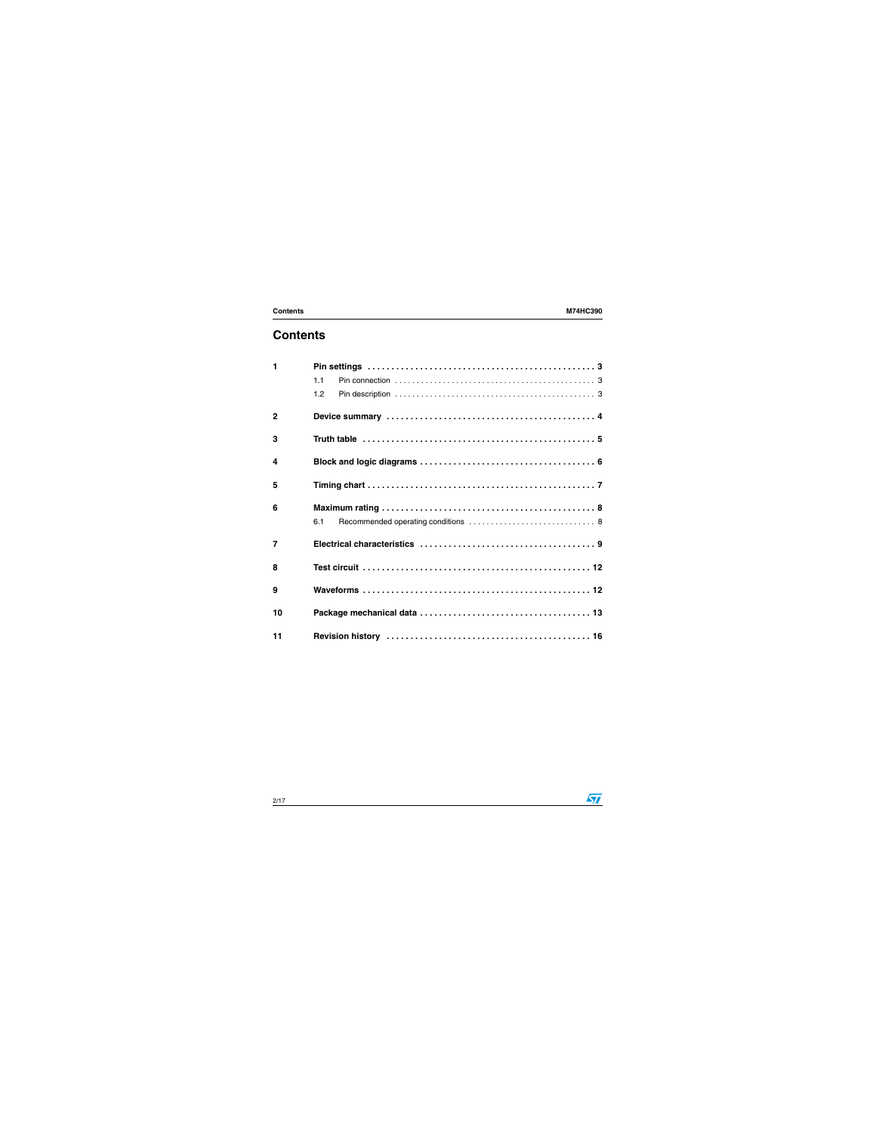## **Contents**

| $\mathbf{1}$     |     |  |  |  |  |  |  |  |  |  |
|------------------|-----|--|--|--|--|--|--|--|--|--|
|                  | 1.1 |  |  |  |  |  |  |  |  |  |
|                  | 1.2 |  |  |  |  |  |  |  |  |  |
| $\overline{2}$   |     |  |  |  |  |  |  |  |  |  |
| 3                |     |  |  |  |  |  |  |  |  |  |
| $\boldsymbol{4}$ |     |  |  |  |  |  |  |  |  |  |
| 5                |     |  |  |  |  |  |  |  |  |  |
| 6                |     |  |  |  |  |  |  |  |  |  |
|                  | 6.1 |  |  |  |  |  |  |  |  |  |
| $\overline{7}$   |     |  |  |  |  |  |  |  |  |  |
| 8                |     |  |  |  |  |  |  |  |  |  |
| 9                |     |  |  |  |  |  |  |  |  |  |
| 10               |     |  |  |  |  |  |  |  |  |  |
| 11               |     |  |  |  |  |  |  |  |  |  |

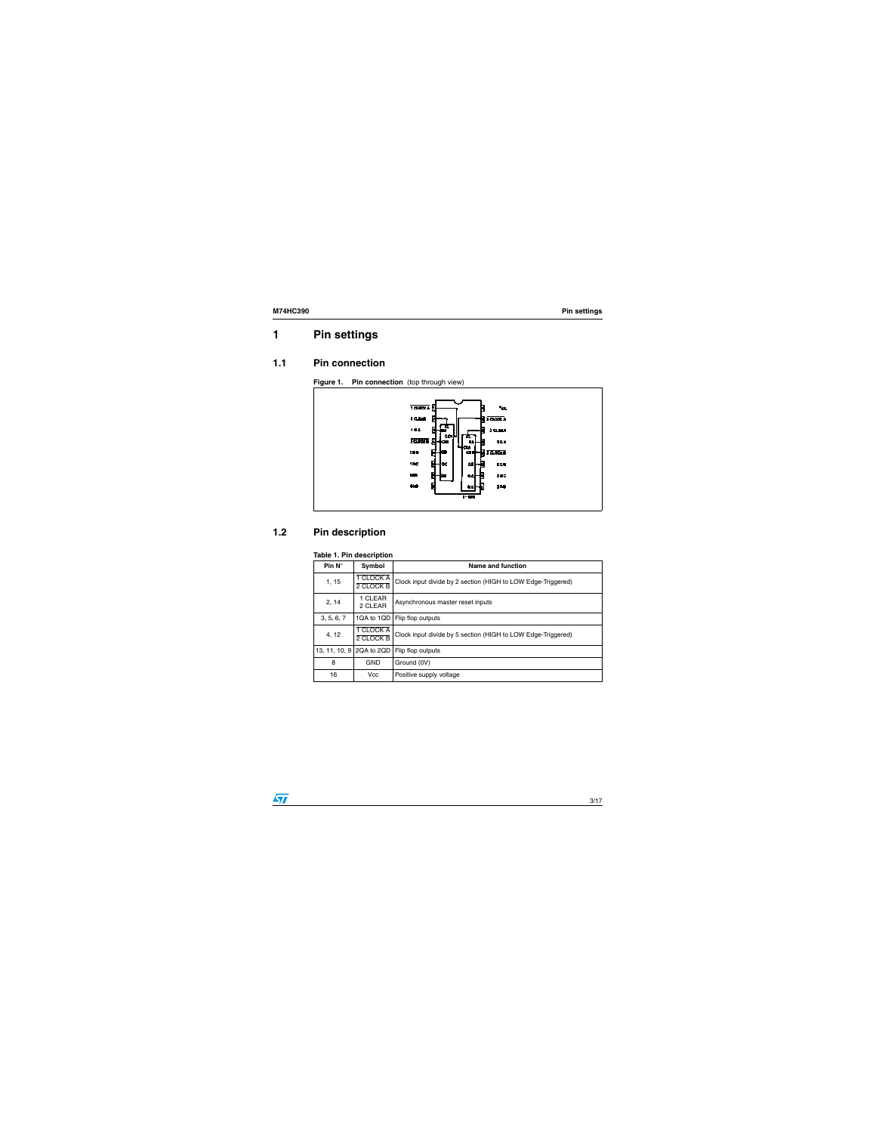## <span id="page-2-0"></span>**1 Pin settings**

#### <span id="page-2-1"></span>**1.1 Pin connection**

**Figure 1.** Pin connection (top through view)



### <span id="page-2-2"></span>**1.2 Pin description**

#### **Table 1. Pin description**

| Pin $N^{\circ}$ | Symbol                 | Name and function                                            |
|-----------------|------------------------|--------------------------------------------------------------|
| 1, 15           | 1 CLOCK A<br>2 CLOCK B | Clock input divide by 2 section (HIGH to LOW Edge-Triggered) |
| 2, 14           | 1 CLEAR<br>2 CLEAR     | Asynchronous master reset inputs                             |
| 3, 5, 6, 7      | 1QA to 1QD             | Flip flop outputs                                            |
| 4, 12           | 1 CLOCK A<br>2 CLOCK B | Clock input divide by 5 section (HIGH to LOW Edge-Triggered) |
| 13, 11, 10, 9   | 2QA to 2QD             | Flip flop outputs                                            |
| 8               | <b>GND</b>             | Ground (0V)                                                  |
| 16              | Vcc                    | Positive supply voltage                                      |

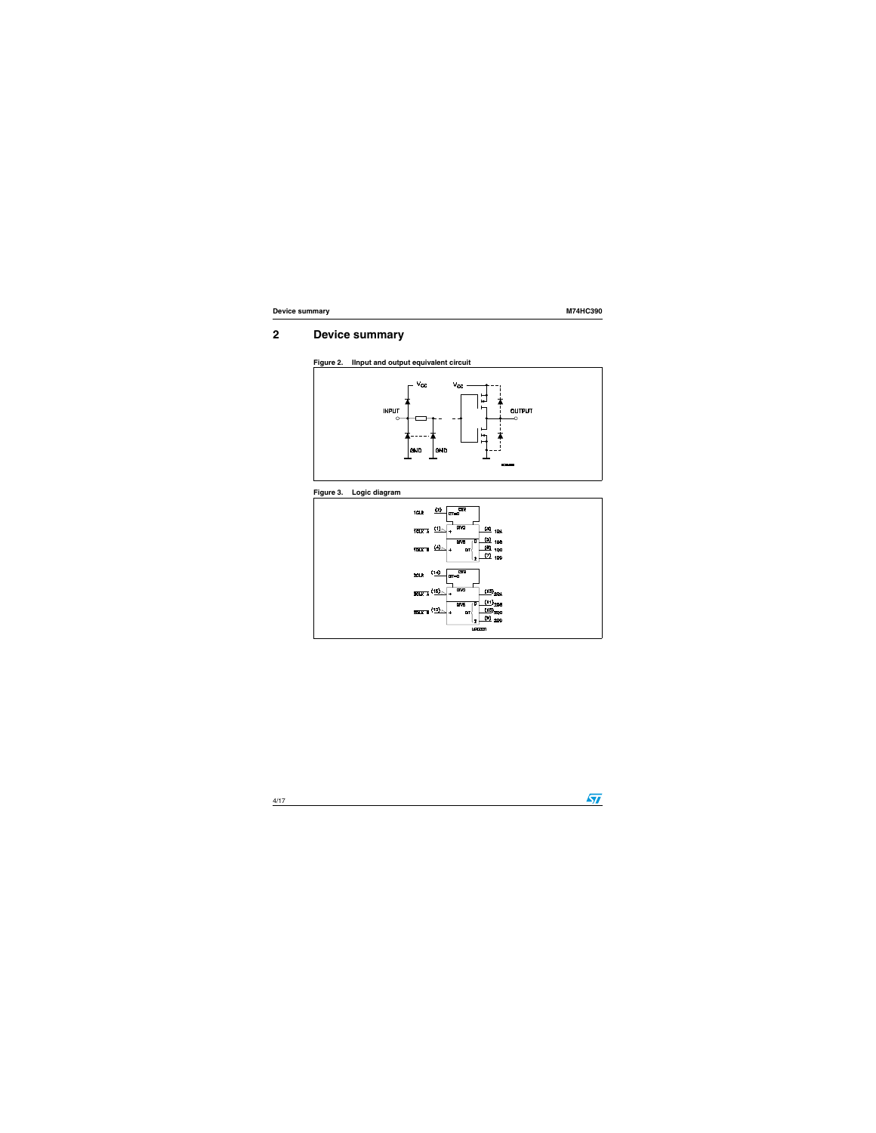## <span id="page-3-0"></span>**2 Device summary**









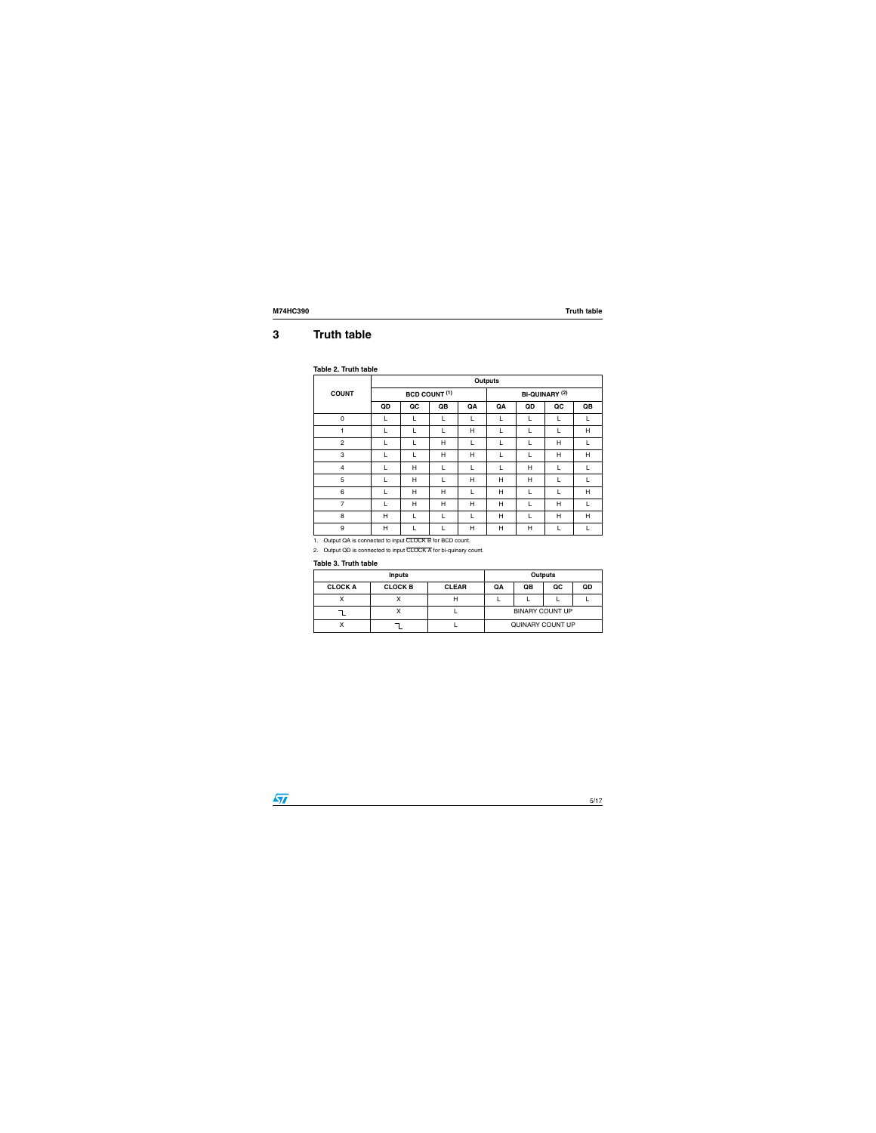## <span id="page-4-0"></span>**3 Truth table**

#### **Table 2. Truth table**

|                | <b>Outputs</b> |                         |    |    |                       |    |                         |    |  |  |  |
|----------------|----------------|-------------------------|----|----|-----------------------|----|-------------------------|----|--|--|--|
| <b>COUNT</b>   |                | <b>BCD COUNT (1)</b>    |    |    | <b>BI-QUINARY (2)</b> |    |                         |    |  |  |  |
|                | QD             | $\overline{\mathbf{Q}}$ | QB | QA | QA                    | QD | $\overline{\mathbf{Q}}$ | QB |  |  |  |
| 0              | L              | L                       | L  | L  | L                     | L  | L                       |    |  |  |  |
| 1              | L              |                         | L  | H  | L                     | L  | L                       | H  |  |  |  |
| $\overline{c}$ | L              | L                       | H  | L  | L                     | L  | H                       |    |  |  |  |
| 3              | L              | L                       | H  | H  | L                     |    | H                       | H  |  |  |  |
| $\overline{4}$ | L              | H                       | L  |    | L                     | H  | L                       |    |  |  |  |
| 5              | L              | H                       | L  | H  | Н                     | H  | L                       |    |  |  |  |
| 6              | L              | H                       | H  |    | Н                     | L  | L                       | H  |  |  |  |
| 7              | L              | H                       | H  | H  | Н                     |    | H                       | L  |  |  |  |
| 8              | Н              |                         | L  | L  | Н                     |    | H                       | H  |  |  |  |
| 9              | Н              |                         |    | H  | Н                     | Н  | L                       |    |  |  |  |

1. Output QA is connected to input CLOCK B for BCD count.

2. Output QD is connected to input CLOCK A for bi-quinary count.

#### **Table 3. Truth table**

|                | <b>Inputs</b>  | <b>Outputs</b> |                        |    |    |    |  |
|----------------|----------------|----------------|------------------------|----|----|----|--|
| <b>CLOCK A</b> | <b>CLOCK B</b> | <b>CLEAR</b>   | QA                     | QB | QC | QD |  |
|                |                |                |                        |    |    |    |  |
|                | ⌒              |                | <b>BINARY COUNT UP</b> |    |    |    |  |
|                |                |                | QUINARY COUNT UP       |    |    |    |  |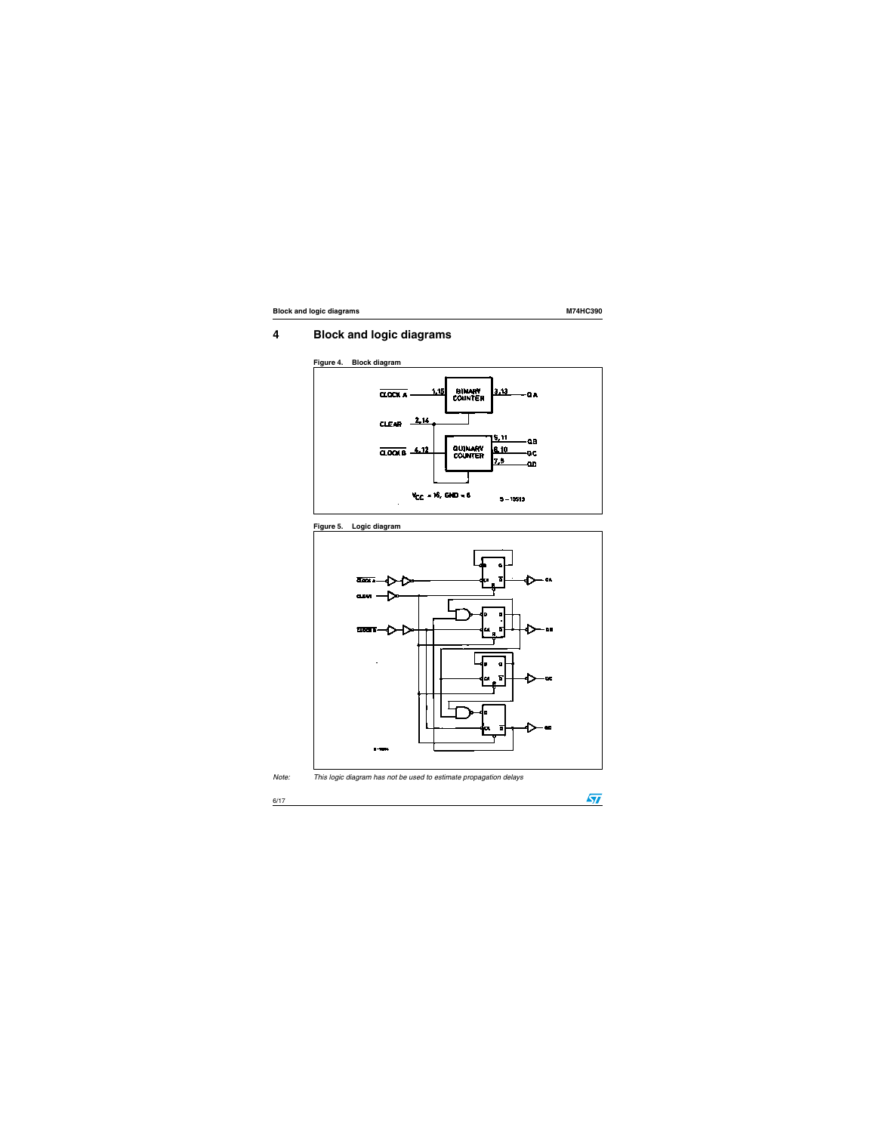$\sqrt{2}$ 

## <span id="page-5-0"></span>**4 Block and logic diagrams**









*Note: This logic diagram has not be used to estimate propagation delays*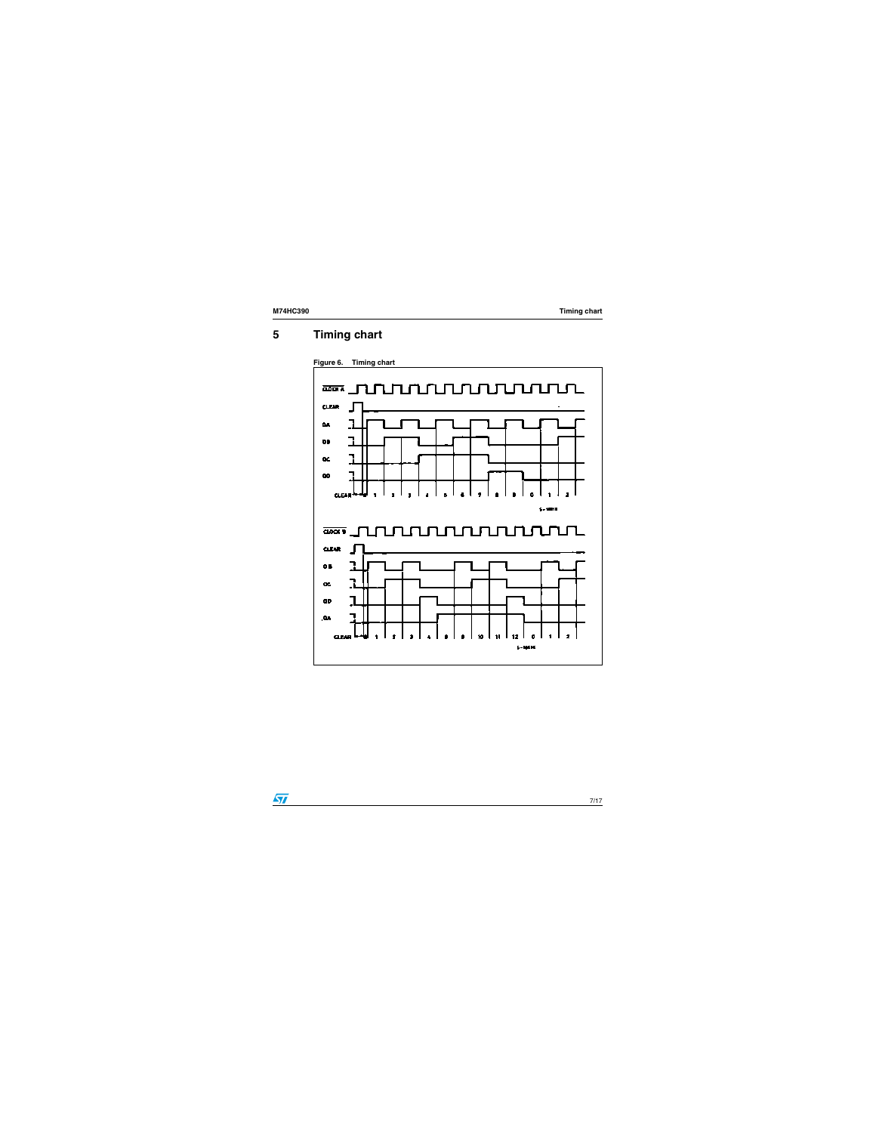## <span id="page-6-0"></span>**5 Timing chart**





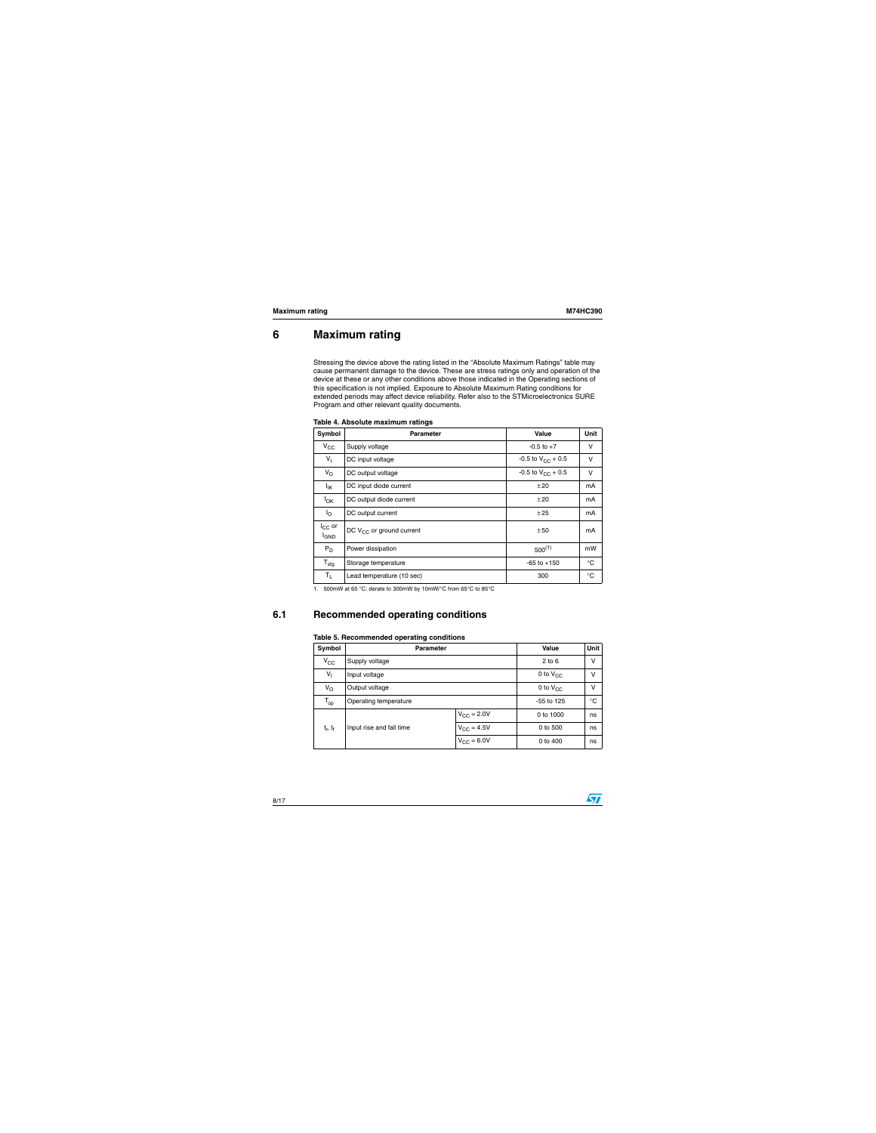$\sqrt{2}$ 

### <span id="page-7-0"></span>**6 Maximum rating**

Stressing the device above the rating listed in the "Absolute Maximum Ratings" table may cause permanent damage to the device. These are stress ratings only and operation of the device at these or any other conditions above those indicated in the Operating sections of this specification is not implied. Exposure to Absolute Maximum Rating conditions for extended periods may affect device reliability. Refer also to the STMicroelectronics SURE Program and other relevant quality documents.

| Symbol                                | <b>Parameter</b>              | Value                  | <b>Unit</b> |
|---------------------------------------|-------------------------------|------------------------|-------------|
| $V_{\rm CC}$                          | Supply voltage                | $-0.5$ to $+7$         | v           |
| $V_{\parallel}$                       | DC input voltage              | -0.5 to $V_{CC}$ + 0.5 | v           |
| $V_{\rm O}$                           | DC output voltage             | -0.5 to $V_{CC}$ + 0.5 | v           |
| <sup>I</sup> IK                       | DC input diode current        | ±20                    | mA          |
| $I_{OK}$                              | DC output diode current       | ±20                    | mA          |
| $I_{\rm O}$                           | DC output current             | ±25                    | mA          |
| $I_{CC}$ or<br><b>I<sub>GND</sub></b> | DC $V_{CC}$ or ground current | ±50                    | mA          |
| $P_D$                                 | Power dissipation             | $500^{(1)}$            | mW          |
| $T_{\text{stg}}$                      | Storage temperature           | $-65$ to $+150$        | °C          |
| $T_{L}$                               | Lead temperature (10 sec)     | 300                    | $^{\circ}C$ |

|  |  | Table 4. Absolute maximum ratings |  |
|--|--|-----------------------------------|--|
|--|--|-----------------------------------|--|

1. 500mW at 65 °C; derate to 300mW by 10mW/°C from 65°C to 85°C

### <span id="page-7-1"></span>**6.1 Recommended operating conditions**

#### **Table 5. Recommended operating conditions**

| Symbol          | <b>Parameter</b>         |                     | <b>Value</b>  | <b>Unit</b> |  |  |
|-----------------|--------------------------|---------------------|---------------|-------------|--|--|
| $V_{CC}$        | Supply voltage           |                     |               |             |  |  |
| $V_{\parallel}$ | Input voltage            |                     | 0 to $V_{CC}$ | ν           |  |  |
| $V_{\rm O}$     | Output voltage           | 0 to $V_{CC}$       | ν             |             |  |  |
| $T_{op}$        | Operating temperature    | $-55$ to 125        | °C            |             |  |  |
|                 |                          | $V_{\rm CC}$ = 2.0V | 0 to 1000     | ns          |  |  |
| $t_r$ , $t_f$   | Input rise and fall time | $V_{\rm CC}$ = 4.5V | 0 to 500      | ns          |  |  |
|                 |                          | 0 to 400            | ns            |             |  |  |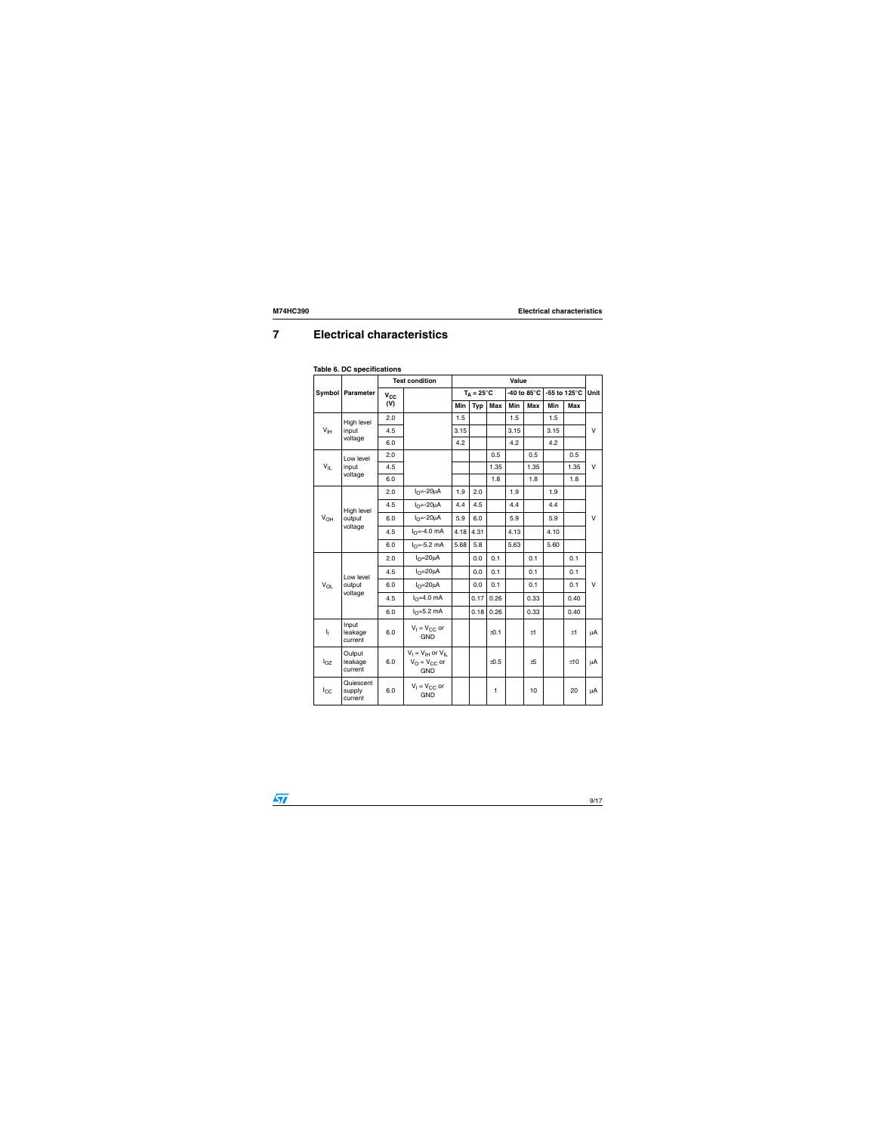## <span id="page-8-0"></span>**7 Electrical characteristics**

|                                             |                                | <b>Test condition</b> | Value                                                         |                     |            |            |                        |            |              |            |              |   |
|---------------------------------------------|--------------------------------|-----------------------|---------------------------------------------------------------|---------------------|------------|------------|------------------------|------------|--------------|------------|--------------|---|
|                                             | Symbol   Parameter             | $V_{CC}$              |                                                               | $T_A = 25^{\circ}C$ |            |            | -40 to 85 $^{\circ}$ C |            | -55 to 125°C |            | Unit         |   |
|                                             |                                | (V)                   |                                                               | Min                 | <b>Typ</b> | <b>Max</b> | Min                    | <b>Max</b> | Min          | <b>Max</b> |              |   |
|                                             | High level                     | 2.0                   |                                                               | 1.5                 |            |            | 1.5                    |            | 1.5          |            |              |   |
| $\mathsf{V}_{\mathsf{IH}}$                  |                                | input                 | 4.5                                                           |                     | 3.15       |            |                        | 3.15       |              | 3.15       |              | V |
|                                             | voltage                        | 6.0                   |                                                               | 4.2                 |            |            | 4.2                    |            | 4.2          |            |              |   |
|                                             | Low level                      | 2.0                   |                                                               |                     |            | 0.5        |                        | 0.5        |              | 0.5        |              |   |
| $V_{ L}$                                    | input                          | 4.5                   |                                                               |                     |            | 1.35       |                        | 1.35       |              | 1.35       | V            |   |
|                                             | voltage                        | 6.0                   |                                                               |                     |            | 1.8        |                        | 1.8        |              | 1.8        |              |   |
| High level<br>$V_{OH}$<br>output<br>voltage |                                | 2.0                   | $IO=-20µA$                                                    | 1.9                 | 2.0        |            | 1.9                    |            | 1.9          |            |              |   |
|                                             |                                | 4.5                   | $I_{\Omega} = -20\mu A$                                       | 4.4                 | 4.5        |            | 4.4                    |            | 4.4          |            |              |   |
|                                             |                                | 6.0                   | $I_{\Omega} = -20\mu A$                                       | 5.9                 | 6.0        |            | 5.9                    |            | 5.9          |            | v            |   |
|                                             |                                | 4.5                   | $I_{\Omega} = -4.0$ mA                                        | 4.18                | 4.31       |            | 4.13                   |            | 4.10         |            |              |   |
|                                             |                                | 6.0                   | $IO=-5.2$ mA                                                  | 5.68                | 5.8        |            | 5.63                   |            | 5.60         |            |              |   |
|                                             |                                | 2.0                   | $I_{\Omega} = 20 \mu A$                                       |                     | 0.0        | 0.1        |                        | 0.1        |              | 0.1        |              |   |
|                                             | Low level                      | 4.5                   | $I_{\Omega} = 20 \mu A$                                       |                     | 0.0        | 0.1        |                        | 0.1        |              | 0.1        |              |   |
| $V_{OL}$                                    | output                         | 6.0                   | $IO=20\muA$                                                   |                     | 0.0        | 0.1        |                        | 0.1        |              | 0.1        | $\mathsf{V}$ |   |
|                                             | voltage                        | 4.5                   | $IO=4.0$ mA                                                   |                     | 0.17       | 0.26       |                        | 0.33       |              | 0.40       |              |   |
|                                             |                                | 6.0                   | $IO=5.2 mA$                                                   |                     | 0.18       | 0.26       |                        | 0.33       |              | 0.40       |              |   |
| $\mathsf{I}_\mathrm{I}$                     | Input<br>leakage<br>current    | 6.0                   | $V_1 = V_{CC}$ or<br><b>GND</b>                               |                     |            | ±0.1       |                        | ±1         |              | $\pm 1$    | μA           |   |
| $I_{OZ}$                                    | Output<br>leakage<br>current   | 6.0                   | $V_1 = V_{1H}$ or $V_{1I}$<br>$V_O = V_{CC}$ or<br><b>GND</b> |                     |            | ±0.5       |                        | ±5         |              | ±10        | μA           |   |
| $I_{\rm CC}$                                | Quiescent<br>supply<br>current | 6.0                   | $V_1 = V_{CC}$ or<br><b>GND</b>                               |                     |            | 1          |                        | 10         |              | 20         | μA           |   |

#### **Table 6. DC specifications**

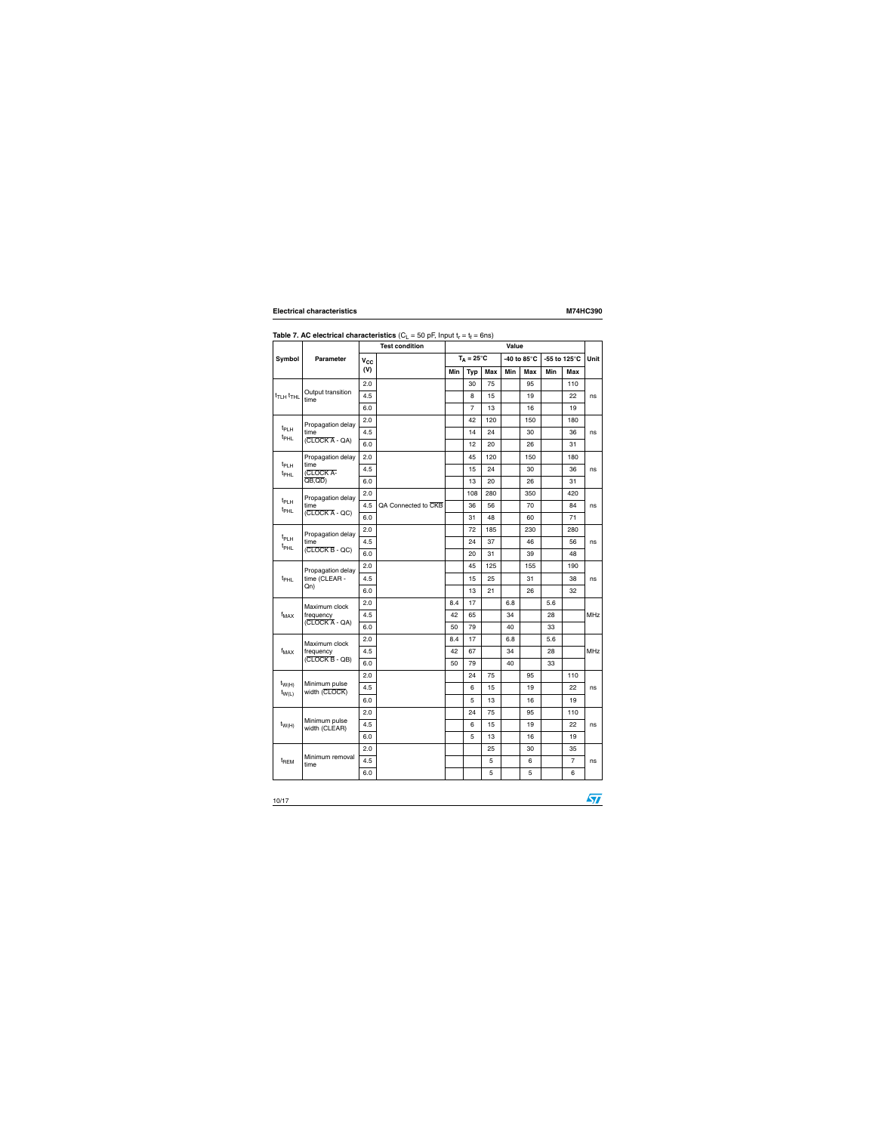|                                      |                                           |          | <b>Test condition</b> |     | <b>Value</b>        |             |     |                       |     |                |            |  |
|--------------------------------------|-------------------------------------------|----------|-----------------------|-----|---------------------|-------------|-----|-----------------------|-----|----------------|------------|--|
| <b>Symbol</b>                        | <b>Parameter</b>                          | $V_{CC}$ |                       |     | $T_A = 25^{\circ}C$ |             |     | -40 to $85^{\circ}$ C |     | -55 to 125°C   | Unit       |  |
|                                      |                                           | (V)      |                       | Min | <b>Typ</b>          | <b>Max</b>  | Min | <b>Max</b>            | Min | Max            |            |  |
|                                      |                                           | 2.0      |                       |     | 30                  | 75          |     | 95                    |     | 110            |            |  |
| $t$ TLH $t$ THL                      | Output transition<br>time                 | 4.5      |                       |     | 8                   | 15          |     | 19                    |     | 22             | ns         |  |
|                                      |                                           | 6.0      |                       |     | $\overline{7}$      | 13          |     | 16                    |     | 19             |            |  |
|                                      | Propagation delay                         | 2.0      |                       |     | 42                  | 120         |     | 150                   |     | 180            |            |  |
| $t_{PLH}$<br>t <sub>PHL</sub>        | time                                      | 4.5      |                       |     | 14                  | 24          |     | 30                    |     | 36             | ns         |  |
|                                      | $(CLOCK A - QA)$                          | 6.0      |                       |     | 12                  | 20          |     | 26                    |     | 31             |            |  |
|                                      | Propagation delay                         | 2.0      |                       |     | 45                  | 120         |     | 150                   |     | 180            |            |  |
| t <sub>PLH</sub><br>t <sub>PHL</sub> | time<br>(CLOCK A-                         | 4.5      |                       |     | 15                  | 24          |     | 30                    |     | 36             | ns         |  |
|                                      | $\overline{OB, QD}$                       | 6.0      |                       |     | 13                  | 20          |     | 26                    |     | 31             |            |  |
|                                      | Propagation delay                         | 2.0      |                       |     | 108                 | 280         |     | 350                   |     | 420            |            |  |
| $t_{\sf PLH}$<br>t <sub>PHL</sub>    | time                                      | 4.5      | QA Connected to CKB   |     | 36                  | 56          |     | 70                    |     | 84             | ns         |  |
|                                      | $(CLOCK A - QC)$                          | 6.0      |                       |     | 31                  | 48          |     | 60                    |     | 71             |            |  |
|                                      | Propagation delay                         | 2.0      |                       |     | 72                  | 185         |     | 230                   |     | 280            |            |  |
| t <sub>PLH</sub><br>t <sub>PHL</sub> | time<br>$(CLOCK B - QC)$                  | 4.5      |                       |     | 24                  | 37          |     | 46                    |     | 56             | ns         |  |
|                                      |                                           | 6.0      |                       |     | 20                  | 31          |     | 39                    |     | 48             |            |  |
|                                      | Propagation delay<br>time (CLEAR -<br>Qn) | 2.0      |                       |     | 45                  | 125         |     | 155                   |     | 190            |            |  |
| t <sub>PHL</sub>                     |                                           | 4.5      |                       |     | 15                  | 25          |     | 31                    |     | 38             | ns         |  |
|                                      |                                           | 6.0      |                       |     | 13                  | 21          |     | 26                    |     | 32             |            |  |
|                                      | Maximum clock                             | 2.0      |                       | 8.4 | 17                  |             | 6.8 |                       | 5.6 |                |            |  |
| $f_{MAX}$                            | frequency                                 | 4.5      |                       | 42  | 65                  |             | 34  |                       | 28  |                | <b>MHz</b> |  |
|                                      | $(CLOCK A - QA)$                          | 6.0      |                       | 50  | 79                  |             | 40  |                       | 33  |                |            |  |
|                                      | Maximum clock                             | 2.0      |                       | 8.4 | 17                  |             | 6.8 |                       | 5.6 |                |            |  |
| $f_{MAX}$                            | frequency                                 | 4.5      |                       | 42  | 67                  |             | 34  |                       | 28  |                | <b>MHz</b> |  |
|                                      | $(CLOCK \overline{B} - QB)$               | $6.0\,$  |                       | 50  | 79                  |             | 40  |                       | 33  |                |            |  |
|                                      |                                           | 2.0      |                       |     | 24                  | 75          |     | 95                    |     | 110            |            |  |
| $t_{W(H)}$<br>$t_{W(L)}$             | Minimum pulse<br>width (CLOCK)            | 4.5      |                       |     | $\,6$               | 15          |     | 19                    |     | 22             | ns         |  |
|                                      |                                           | 6.0      |                       |     | 5                   | 13          |     | 16                    |     | 19             |            |  |
|                                      |                                           | 2.0      |                       |     | 24                  | 75          |     | 95                    |     | 110            |            |  |
| $t_{W(H)}$                           | Minimum pulse<br>width (CLEAR)            | 4.5      |                       |     | 6                   | 15          |     | 19                    |     | 22             | ns         |  |
|                                      |                                           | 6.0      |                       |     | 5                   | 13          |     | 16                    |     | 19             |            |  |
|                                      |                                           | 2.0      |                       |     |                     | 25          |     | 30                    |     | 35             |            |  |
| $t_{\sf REM}$                        | Minimum removal<br>time                   | 4.5      |                       |     |                     | $\mathbf 5$ |     | 6                     |     | $\overline{7}$ | ns         |  |
|                                      |                                           | 6.0      |                       |     |                     | 5           |     | 5                     |     | 6              |            |  |

#### **Table 7. AC electrical characteristics** ( $C_L = 50$  pF, Input  $t_r = t_f = 6$ ns)

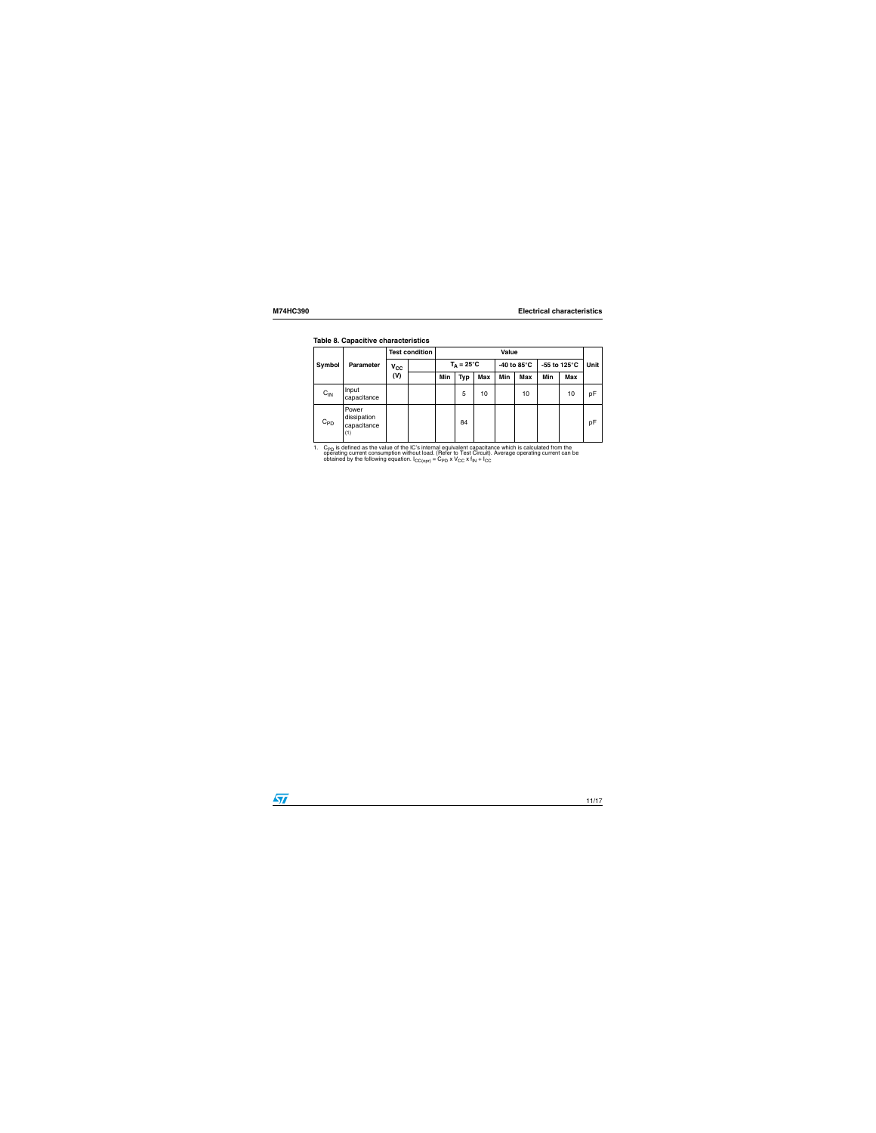| rable of Capacitive Characteristics |                                            |                       |     |              |                     |     |                        |     |                        |    |             |
|-------------------------------------|--------------------------------------------|-----------------------|-----|--------------|---------------------|-----|------------------------|-----|------------------------|----|-------------|
|                                     | <b>Parameter</b>                           | <b>Test condition</b> |     | <b>Value</b> |                     |     |                        |     |                        |    |             |
| Symbol                              |                                            | $v_{\rm cc}$          |     |              | $T_A = 25^{\circ}C$ |     | -40 to 85 $^{\circ}$ C |     | -55 to 125 $\degree$ C |    | <b>Unit</b> |
|                                     |                                            | (V)                   | Min | <b>Typ</b>   | <b>Max</b>          | Min | Max                    | Min | Max                    |    |             |
| $C_{IN}$                            | Input<br>capacitance                       |                       |     |              | 5                   | 10  |                        | 10  |                        | 10 | pF          |
| $C_{PD}$                            | Power<br>dissipation<br>capacitance<br>(1) |                       |     |              | 84                  |     |                        |     |                        |    | pF          |

#### **Table 8. Capacitive characteristics**

1. C<sub>PD</sub> is defined as the value of the IC's internal equivalent capacitance which is calculated from the operating current consumption without load. (Refer to Test Circuit). Average operating current can be obtained by t

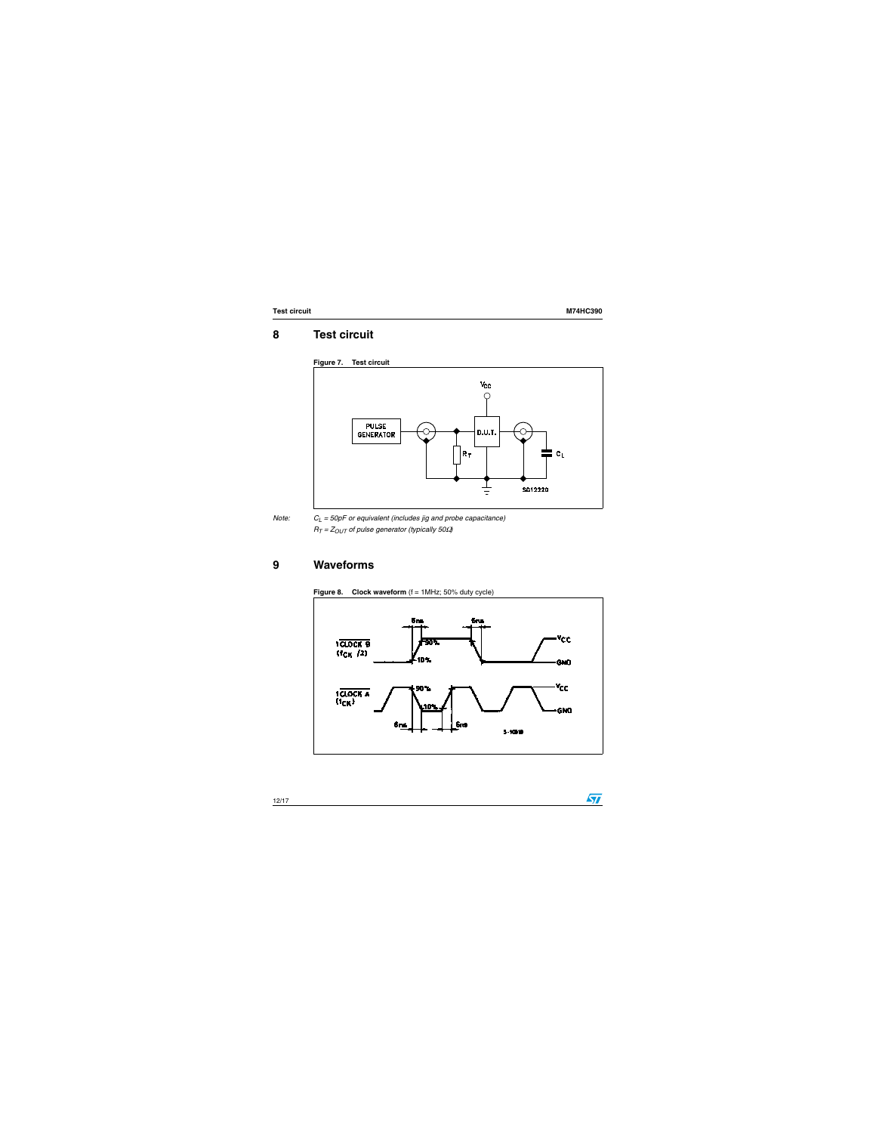$\sqrt{2}$ 

### <span id="page-11-0"></span>**8 Test circuit**





*Note: CL = 50pF or equivalent (includes jig and probe capacitance) RT = ZOUT of pulse generator (typically 50*Ω*)*

### <span id="page-11-1"></span>**9 Waveforms**



**Figure 8.** Clock waveform  $(f = 1)$ MHz; 50% duty cycle)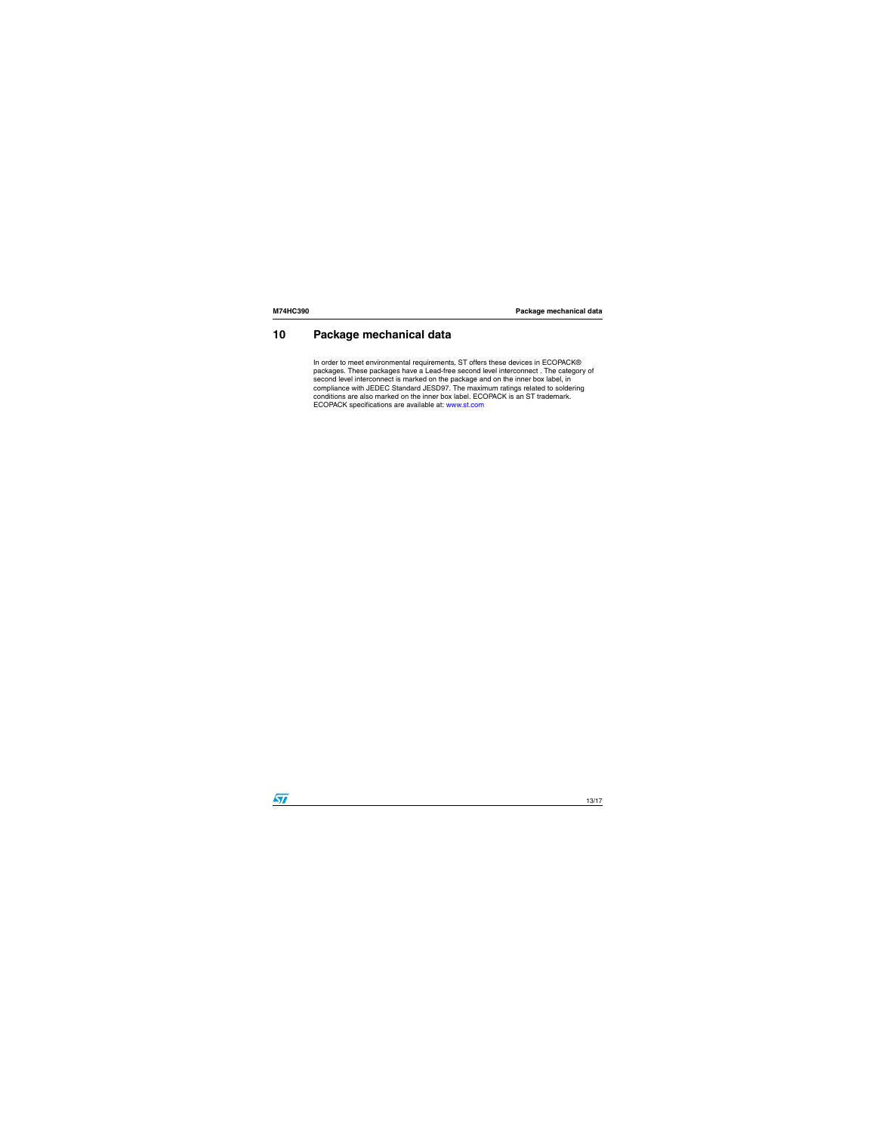### <span id="page-12-0"></span>**10 Package mechanical data**

In order to meet environmental requirements, ST offers these devices in ECOPACK® packages. These packages have a Lead-free second level interconnect . The category of second level interconnect is marked on the package and on the inner box label, in compliance with JEDEC Standard JESD97. The maximum ratings related to soldering conditions are also marked on the inner box label. ECOPACK is an ST trademark. ECOPACK specifications are available at: www.st.com

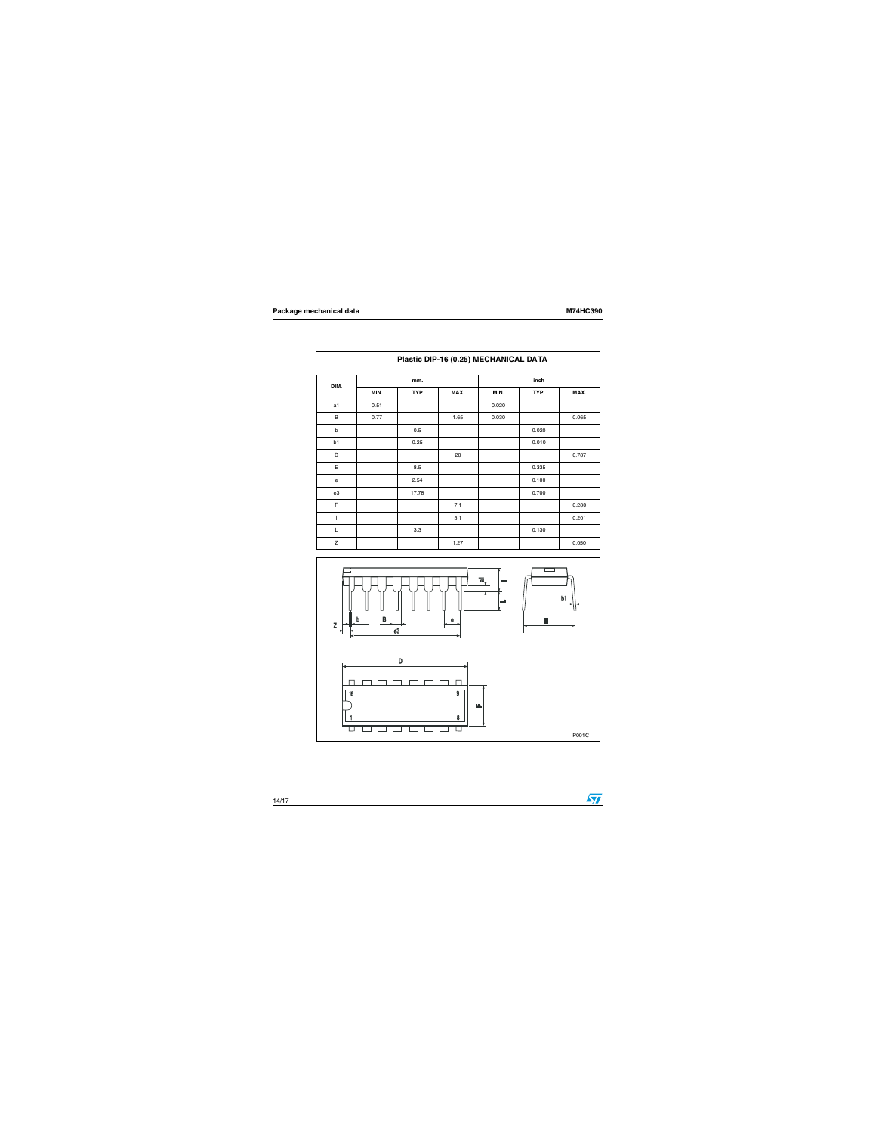|             | Plastic DIP-16 (0.25) MECHANICAL DATA |            |      |       |       |       |  |  |  |  |
|-------------|---------------------------------------|------------|------|-------|-------|-------|--|--|--|--|
| DIM.        |                                       | mm.        |      |       |       |       |  |  |  |  |
|             | MIN.                                  | <b>TYP</b> | MAX. | MIN.  | TYP.  | MAX.  |  |  |  |  |
| a1          | 0.51                                  |            |      | 0.020 |       |       |  |  |  |  |
| B           | 0.77                                  |            | 1.65 | 0.030 |       | 0.065 |  |  |  |  |
| b           |                                       | 0.5        |      |       | 0.020 |       |  |  |  |  |
| b1          |                                       | 0.25       |      |       | 0.010 |       |  |  |  |  |
| D           |                                       |            | 20   |       |       | 0.787 |  |  |  |  |
| Ε           |                                       | 8.5        |      |       | 0.335 |       |  |  |  |  |
| $\mathbf e$ |                                       | 2.54       |      |       | 0.100 |       |  |  |  |  |
| e3          |                                       | 17.78      |      |       | 0.700 |       |  |  |  |  |
| F           |                                       |            | 7.1  |       |       | 0.280 |  |  |  |  |
| I           |                                       |            | 5.1  |       |       | 0.201 |  |  |  |  |
| L           |                                       | 3.3        |      |       | 0.130 |       |  |  |  |  |
| $\mathsf Z$ |                                       |            | 1.27 |       |       | 0.050 |  |  |  |  |



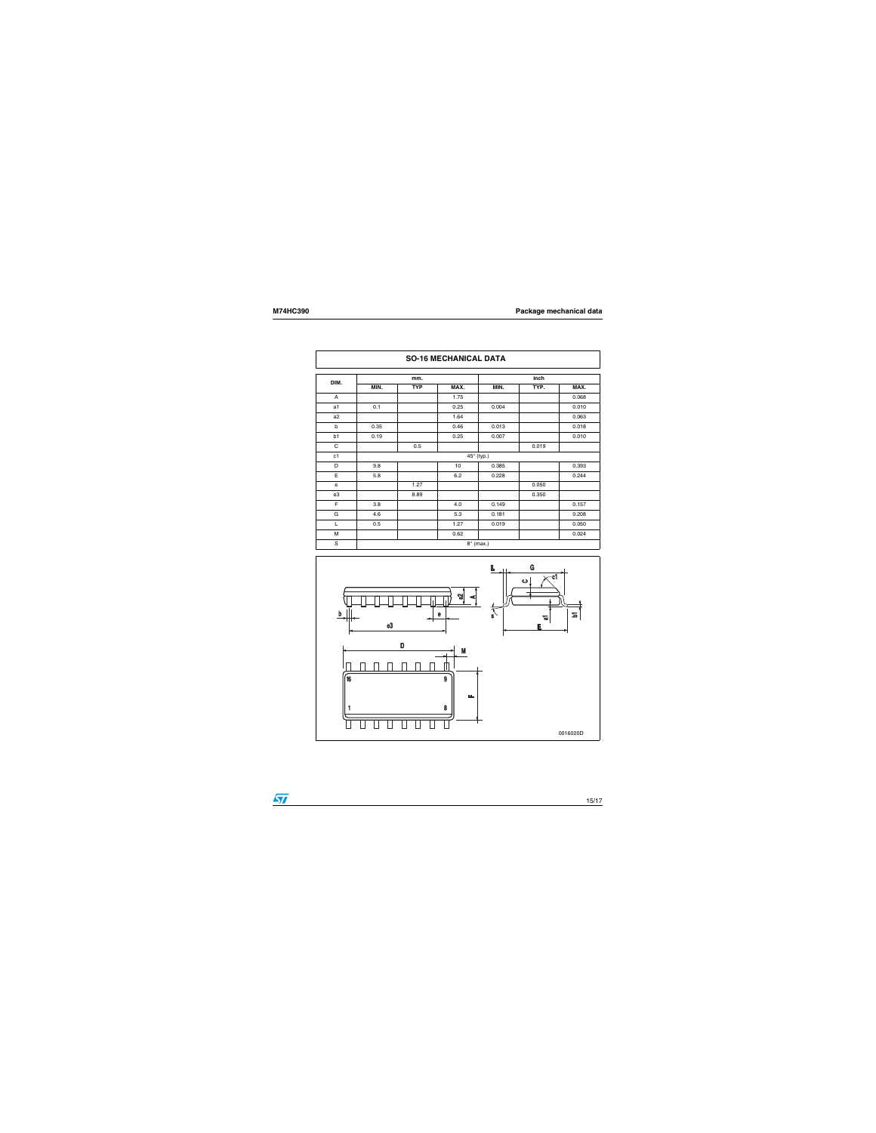| <b>SO-16 MECHANICAL DATA</b> |                  |            |      |       |       |       |  |
|------------------------------|------------------|------------|------|-------|-------|-------|--|
| DIM.                         | mm.              |            |      | inch  |       |       |  |
|                              | MIN.             | <b>TYP</b> | MAX. | MIN.  | TYP.  | MAX.  |  |
| A                            |                  |            | 1.75 |       |       | 0.068 |  |
| a <sub>1</sub>               | 0.1              |            | 0.25 | 0.004 |       | 0.010 |  |
| a <sub>2</sub>               |                  |            | 1.64 |       |       | 0.063 |  |
| b                            | 0.35             |            | 0.46 | 0.013 |       | 0.018 |  |
| b1                           | 0.19             |            | 0.25 | 0.007 |       | 0.010 |  |
| C                            |                  | 0.5        |      |       | 0.019 |       |  |
| c1                           | 45° (typ.)       |            |      |       |       |       |  |
| D                            | 9.8              |            | 10   | 0.385 |       | 0.393 |  |
| E                            | 5.8              |            | 6.2  | 0.228 |       | 0.244 |  |
| $\mathsf{e}$                 |                  | 1.27       |      |       | 0.050 |       |  |
| e3                           |                  | 8.89       |      |       | 0.350 |       |  |
| F                            | 3.8              |            | 4.0  | 0.149 |       | 0.157 |  |
| G                            | 4.6              |            | 5.3  | 0.181 |       | 0.208 |  |
| L                            | 0.5              |            | 1.27 | 0.019 |       | 0.050 |  |
| M                            |                  |            | 0.62 |       |       | 0.024 |  |
| S                            | $8^\circ$ (max.) |            |      |       |       |       |  |



 $\overline{\mathbf{S}}$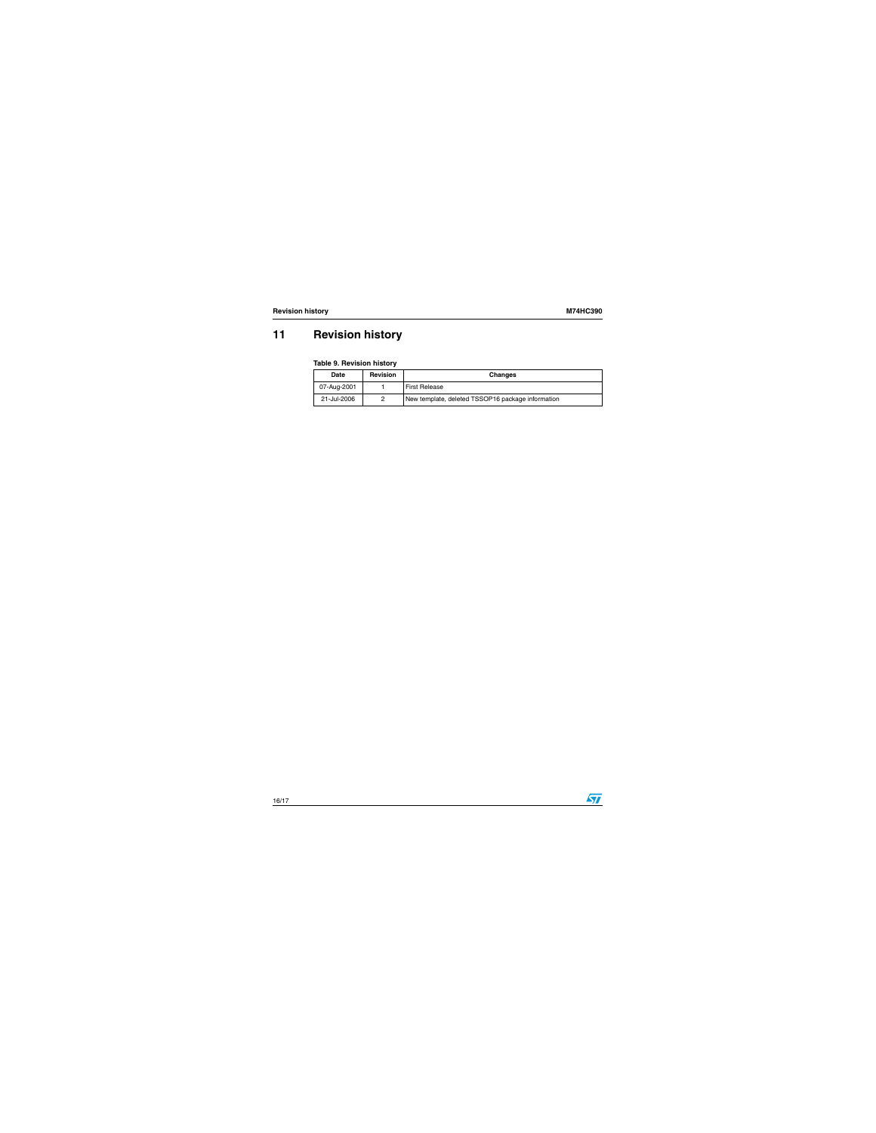## <span id="page-15-0"></span>**11 Revision history**

#### **Table 9. Revision history**

| Date             | <b>Revision</b> | <b>Changes</b>                                    |  |
|------------------|-----------------|---------------------------------------------------|--|
| 07-Aug-2001      |                 | <b>First Release</b>                              |  |
| 21-Jul-2006<br>0 |                 | New template, deleted TSSOP16 package information |  |